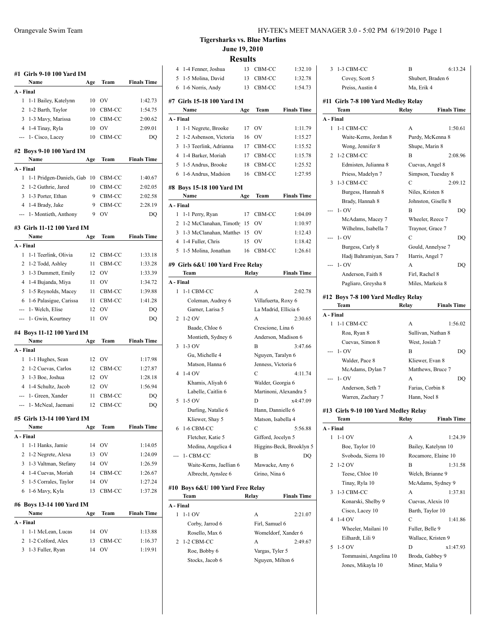|                     | #1 Girls 9-10 100 Yard IM              |          |              |                    |
|---------------------|----------------------------------------|----------|--------------|--------------------|
|                     | Name                                   | Age      | Team         | <b>Finals Time</b> |
| A - Final           |                                        |          |              |                    |
| 1                   | 1-1 Bailey, Katelynn                   | 10       | OV           | 1:42.73            |
| 2                   | 1-2 Barth, Taylor                      | 10       | CBM-CC       | 1:54.75            |
|                     | 3 1-3 Mavy, Marissa                    |          | 10 CBM-CC    | 2:00.62            |
|                     | 4 1-4 Tinay, Ryla                      | 10       | <b>OV</b>    | 2:09.01            |
| ---                 | 1- Cisco, Lacey                        | 10       | CBM-CC       | DO                 |
|                     | #2 Boys 9-10 100 Yard IM               |          |              |                    |
|                     | Name                                   | Age      | Team         | <b>Finals Time</b> |
| A - Final           |                                        |          |              |                    |
| 1                   | 1-1 Pridgen-Daniels, Gab               |          | 10 CBM-CC    | 1:40.67            |
| 2                   | 1-2 Guthrie, Jared                     | 10       | CBM-CC       | 2:02.05            |
|                     | 3 1-3 Porter, Ethan                    | 9        | CBM-CC       | 2:02.58            |
|                     | 4 1-4 Brady, Jake                      | 9        | CBM-CC       | 2:28.19            |
| ---                 | 1- Montieth, Anthony                   | 9        | OV           | <b>DQ</b>          |
|                     | #3 Girls 11-12 100 Yard IM             |          |              |                    |
|                     | Name                                   | Age      | Team         | <b>Finals Time</b> |
| A - Final           |                                        |          |              |                    |
| 1                   | 1-1 Teerlink, Olivia                   | 12       | CBM-CC       | 1:33.18            |
| 2                   | 1-2 Todd, Ashley                       | 11       | CBM-CC       | 1:33.28            |
| 3                   | 1-3 Dummett, Emily                     | 12       | OV           | 1:33.39            |
| 4                   | 1-4 Bujanda, Miya                      | 11       | <b>OV</b>    | 1:34.72            |
| 5                   | 1-5 Reynolds, Macey                    | 11       | CBM-CC       | 1:39.88            |
| 6                   | 1-6 Palasigue, Carissa                 | 11       | CBM-CC       | 1:41.28            |
|                     | --- 1- Welch, Elise                    | 12       | OV           | DQ                 |
| ---                 | 1- Gwin, Kourtney                      | 11       | ov           | DQ                 |
|                     | #4 Boys 11-12 100 Yard IM              |          |              |                    |
|                     | Name                                   | Age      | Team         | <b>Finals Time</b> |
| A - Final           |                                        |          |              |                    |
| 1                   | 1-1 Hughes, Sean                       | 12       | <b>OV</b>    | 1:17.98            |
| 2                   | 1-2 Cuevas, Carlos                     | 12       | CBM-CC       | 1:27.87            |
| 3                   | 1-3 Boe, Joshua                        |          | 12 OV        | 1:28.18            |
| $\overline{4}$      | 1-4 Schultz, Jacob                     |          | 12 OV        | 1:56.94            |
|                     | --- 1- Green, Xander                   | 11       | CBM-CC       | DQ                 |
|                     | --- 1- McNeal, Jaemani                 | 12       | CBM-CC       | DQ                 |
|                     |                                        |          |              |                    |
|                     | #5 Girls 13-14 100 Yard IM<br>Name     | Age      | Team         | <b>Finals Time</b> |
| A - Final           |                                        |          |              |                    |
| 1                   | 1-1 Hanks, Jamie                       | 14       | OV           | 1:14.05            |
| 2                   | 1-2 Negrete, Alexa                     | 13       | OV           | 1:24.09            |
| 3                   | 1-3 Valtman, Stefany                   | 14       | OV           | 1:26.59            |
| 4                   | 1-4 Cuevas, Moriah                     | 14       | CBM-CC       | 1:26.67            |
| 5                   | 1-5 Corrales, Taylor                   | 14       | OV           | 1:27.24            |
| 6                   | 1-6 Mavy, Kyla                         | 13       | CBM-CC       | 1:37.28            |
|                     |                                        |          |              |                    |
|                     | #6 Boys 13-14 100 Yard IM              |          |              |                    |
|                     | Name                                   | Age      | Team         | <b>Finals Time</b> |
|                     |                                        |          |              |                    |
|                     |                                        |          |              |                    |
| A - Final<br>1<br>2 | 1-1 McLean, Lucas<br>1-2 Colford, Alex | 14<br>13 | OV<br>CBM-CC | 1:13.88<br>1:16.37 |

3 1-3 Fuller, Ryan 14 OV 1:19.91

**Tigersharks vs. Blue Marlins June 19, 2010**

**Results**

| 4              | 1-4 Fenner, Joshua               |       | 13 CBM-CC            | 1:32.10                  |
|----------------|----------------------------------|-------|----------------------|--------------------------|
| 5              | 1-5 Molina, David                | 13    | CBM-CC               | 1:32.78                  |
| 6              | 1-6 Norris, Andy                 | 13    | CBM-CC               | 1:54.73                  |
|                | #7 Girls 15-18 100 Yard IM       |       |                      |                          |
|                | Name                             | Age   | Team                 | <b>Finals Time</b>       |
| A - Final      |                                  |       |                      |                          |
| 1              | 1-1 Negrete, Brooke              | 17    | OV                   | 1:11.79                  |
| 2              | 1-2 Asbenson, Victoria           | 16    | OV                   | 1:15.27                  |
| 3              | 1-3 Teerlink, Adrianna           |       | 17 CBM-CC            | 1:15.52                  |
| 4              | 1-4 Barker, Moriah               |       |                      | 1:15.78                  |
| 5              | 1-5 Andrus, Brooke               | 18    | 17 CBM-CC<br>CBM-CC  |                          |
| 6              |                                  | 16    |                      | 1:25.52<br>1:27.95       |
|                | 1-6 Andrus, Madsion              |       | CBM-CC               |                          |
|                | #8 Boys 15-18 100 Yard IM        |       |                      |                          |
|                | Name                             | Age   | Team                 | <b>Finals Time</b>       |
| A - Final      |                                  |       |                      |                          |
| 1              | 1-1 Perry, Ryan                  | 17    | CBM-CC               | 1:04.09                  |
| 2              | 1-2 McClanahan, Timoth           | -15   | OV                   | 1:10.97                  |
| 3              | 1-3 McClanahan, Matthey 15       |       | - OV                 | 1:12.43                  |
| $\overline{4}$ | 1-4 Fuller, Chris                | 15    | $\rm OV$             | 1:18.42                  |
| 5              | 1-5 Molina, Jonathan             | 16    | CBM-CC               | 1:26.61                  |
|                |                                  |       |                      |                          |
|                | #9 Girls 6&U 100 Yard Free Relay |       |                      |                          |
|                | Team                             |       | Relay                | <b>Finals Time</b>       |
| A - Final      |                                  |       |                      |                          |
| 1              | 1-1 CBM-CC                       |       | A                    | 2:02.78                  |
|                | Coleman, Audrey 6                |       | Villafuerta, Roxy 6  |                          |
|                | Garner, Larisa 5                 |       | La Madrid, Ellicia 6 |                          |
| 2              | $1-2$ OV                         |       | A                    | 2:30.65                  |
|                | Baade, Chloe 6                   |       | Crescione, Lina 6    |                          |
|                | Montieth, Sydney 6               |       | Anderson, Madison 6  |                          |
| 3              | 1-3 OV                           |       | В                    | 3:47.66                  |
|                | Gu, Michelle 4                   |       | Nguyen, Taralyn 6    |                          |
|                | Matson, Hanna 6                  |       | Jenness, Victoria 6  |                          |
| 4              | $1-4$ OV                         |       | C                    | 4:11.74                  |
|                | Khamis, Aliyah 6                 |       | Walder, Georgia 6    |                          |
|                | Labelle, Caitlin 6               |       |                      | Martinoni, Alexandra 5   |
| 5              | $1-5$ OV                         |       | D                    | x4:47.09                 |
|                | Durling, Natalie 6               |       | Hann, Dannielle 6    |                          |
|                | Kliewer, Shay 5                  |       | Matson, Isabella 4   |                          |
| 6              | 1-6 CBM-CC                       |       | С                    | 5:56.88                  |
|                | Fletcher, Katie 5                |       | Gifford, Jocelyn 5   |                          |
|                | Medina, Angelica 4               |       |                      | Higgins-Beck, Brooklyn 5 |
|                | 1- CBM-CC                        |       | В                    | DQ                       |
|                | Waite-Kerns, Jaellian 6          |       | Mawacke, Amy 6       |                          |
|                | Albrecht, Aynslee 6              |       | Grino, Nina 6        |                          |
|                |                                  |       |                      |                          |
|                | #10 Boys 6&U 100 Yard Free Relay |       |                      |                          |
|                | Team                             | Relay |                      | <b>Finals Time</b>       |
| A - Final      |                                  |       |                      |                          |
| 1              | $1-1$ OV                         |       | A                    | 2:21.07                  |
|                | Corby, Jarrod 6                  |       | Firl, Samuel 6       |                          |
|                | Rosello, Max 6                   |       | Womeldorf, Xander 6  |                          |
| 2              | 1-2 CBM-CC                       |       | A                    | 2:49.67                  |
|                | Roe, Bobby 6                     |       | Vargas, Tyler 5      |                          |
|                | Stocks, Jacob 6                  |       | Nguyen, Milton 6     |                          |
|                |                                  |       |                      |                          |
|                |                                  |       |                      |                          |

| 3              | 1-3 CBM-CC                          | B                | 6:13.24             |
|----------------|-------------------------------------|------------------|---------------------|
|                | Covey, Scott 5                      |                  | Shubert, Braden 6   |
|                | Preiss, Austin 4                    | Ma, Erik 4       |                     |
|                |                                     |                  |                     |
|                | #11 Girls 7-8 100 Yard Medley Relay |                  |                     |
|                | Team                                | Relay            | <b>Finals Time</b>  |
| A - Final<br>1 |                                     | A                |                     |
|                | 1-1 CBM-CC                          |                  | 1:50.61             |
|                | Waite-Kerns, Jordan 8               |                  | Purdy, McKenna 8    |
|                | Wong, Jennifer 8                    | Shupe, Marin 8   |                     |
| 2              | 1-2 CBM-CC                          | B                | 2:08.96             |
|                | Edmisten, Julianna 8                |                  | Cuevas, Angel 8     |
|                | Priess, Madelyn 7                   |                  | Simpson, Tuesday 8  |
| 3              | 1-3 CBM-CC                          | C                | 2:09.12             |
|                | Burgess, Hannah 8                   | Niles, Kristen 8 |                     |
|                | Brady, Hannah 8                     |                  | Johnston, Giselle 8 |
|                | $1 - OV$                            | B                | DQ                  |
|                | McAdams, Macey 7                    |                  | Wheeler, Reece 7    |
|                | Wilhelms, Isabella 7                |                  | Traynor, Grace 7    |
| ---            | $1 - OV$                            | $\mathbf C$      | DQ                  |
|                | Burgess, Carly 8                    |                  | Gould, Annelyse 7   |
|                | Hadj Bahramiyan, Sara 7             | Harris, Angel 7  |                     |
|                | $1 - OV$                            | A                | DO                  |
|                | Anderson, Faith 8                   | Firl, Rachel 8   |                     |
|                | Pagliaro, Greysha 8                 |                  | Miles, Markeia 8    |
|                |                                     |                  |                     |
|                | #12 Boys 7-8 100 Yard Medley Relay  |                  |                     |
|                | Team                                | Relay            | <b>Finals Time</b>  |
| A - Final      |                                     |                  |                     |
| 1              | 1-1 CBM-CC                          | A                | 1:56.02             |
|                | Roa, Ryan 8                         |                  | Sullivan, Nathan 8  |
|                | Cuevas, Simon 8                     | West, Josiah 7   |                     |
|                | $1 - OV$                            | B                | DQ                  |
|                | Walder, Pace 8                      |                  | Kliewer, Evan 8     |
|                | McAdams, Dylan 7                    |                  | Matthews, Bruce 7   |

# **#13 Girls 9-10 100 Yard Medley Relay**

|              | Team                   | Relay           | <b>Finals Time</b>  |
|--------------|------------------------|-----------------|---------------------|
| A - Final    |                        |                 |                     |
| $\mathbf{1}$ | $1-1$ OV               | A               | 1:24.39             |
|              | Boe, Taylor 10         |                 | Bailey, Katelynn 10 |
|              | Svoboda, Sierra 10     |                 | Rocamore, Elaine 10 |
|              | $2\;1-2\;0V$           | B               | 1:31.58             |
|              | Teese, Chloe 10        |                 | Welch, Brianne 9    |
|              | Tinay, Ryla 10         |                 | McAdams, Sydney 9   |
|              | 3 1-3 CBM-CC           | A               | 1:37.81             |
|              | Konarski, Shelby 9     |                 | Cuevas, Alexis 10   |
|              | Cisco, Lacey 10        |                 | Barth, Taylor 10    |
|              | $41-40V$               | C               | 1:41.86             |
|              | Wheeler, Mailani 10    | Fuller, Belle 9 |                     |
|              | Eilhardt, Lili 9       |                 | Wallace, Kristen 9  |
|              | $5 - 1 - 5$ OV         | D               | x1:47.93            |
|              | Tommasini, Angelina 10 |                 | Broda, Gabbey 9     |
|              | Jones, Mikayla 10      | Miner, Malia 9  |                     |
|              |                        |                 |                     |

--- 1- OV A DQ Anderson, Seth 7 Farias, Corbin 8 Warren, Zachary 7 Hann, Noel 8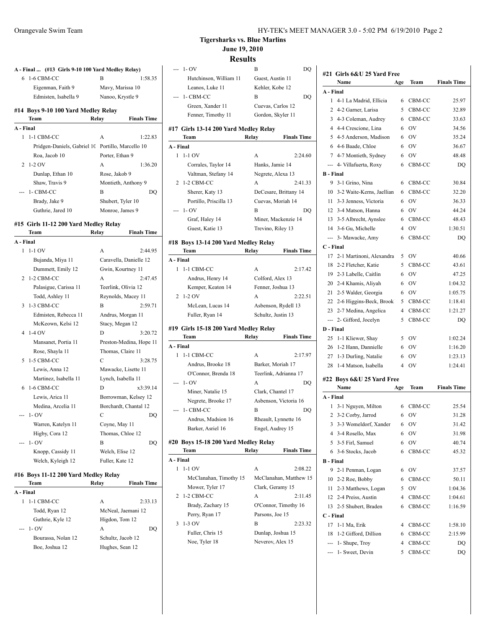| 6              | 1-6 CBM-CC                                        | B                       | 1:58.35             |
|----------------|---------------------------------------------------|-------------------------|---------------------|
|                | Eigenman, Faith 9                                 | Mavy, Marissa 10        |                     |
|                | Edmisten, Isabella 9                              | Nanoo, Krystle 9        |                     |
|                | #14 Boys 9-10 100 Yard Medley Relay               |                         |                     |
|                | Team                                              | Relay                   | <b>Finals Time</b>  |
|                | A - Final                                         |                         |                     |
| 1              | 1-1 CBM-CC                                        | A                       | 1:22.83             |
|                | Pridgen-Daniels, Gabriel 10 Portillo, Marcello 10 |                         |                     |
| $\overline{2}$ | Roa, Jacob 10<br>$1-2$ OV                         | Porter, Ethan 9         |                     |
|                |                                                   | A                       | 1:36.20             |
|                | Dunlap, Ethan 10                                  | Rose, Jakob 9           |                     |
|                | Shaw, Travis 9                                    | Montieth, Anthony 9     |                     |
|                | 1- CBM-CC                                         | B                       | DQ                  |
|                | Brady, Jake 9                                     | Shubert, Tyler 10       |                     |
|                | Guthrie, Jared 10                                 | Monroe, James 9         |                     |
|                | #15 Girls 11-12 200 Yard Medley Relay             |                         |                     |
|                | Team                                              | Relay                   | <b>Finals Time</b>  |
|                | A - Final                                         |                         |                     |
| 1              | $1-1$ OV                                          | A                       | 2:44.95             |
|                | Bujanda, Miya 11                                  | Caravella, Danielle 12  |                     |
|                | Dummett, Emily 12                                 | Gwin, Kourtney 11       |                     |
|                | 2 1-2 CBM-CC                                      | A                       | 2:47.45             |
|                | Palasigue, Carissa 11                             | Teerlink, Olivia 12     |                     |
|                | Todd, Ashley 11                                   | Reynolds, Macey 11      |                     |
| 3              | 1-3 CBM-CC                                        | $\overline{B}$          | 2:59.71             |
|                | Edmisten, Rebecca 11                              | Andrus, Morgan 11       |                     |
|                | McKeown, Kelsi 12                                 | Stacy, Megan 12         |                     |
|                |                                                   |                         | 3:20.72             |
|                | 4 1-4 OV                                          | D                       |                     |
|                | Mansanet, Portia 11                               | Preston-Medina, Hope 11 |                     |
|                | Rose, Shayla 11                                   | Thomas, Claire 11       |                     |
| 5              | 1-5 CBM-CC                                        | $\mathcal{C}$           |                     |
|                | Lewis, Anna 12                                    | Mawacke, Lisette 11     |                     |
|                | Martinez, Isabella 11                             | Lynch, Isabella 11      |                     |
|                | 6 1-6 CBM-CC                                      | D                       |                     |
|                | Lewis, Arica 11                                   | Borrowman, Kelsey 12    | 3:28.75<br>x3:39.14 |
|                | Medina, Arcelia 11                                | Borchardt, Chantal 12   |                     |
| ---            | $1 - OV$                                          | $\mathcal{C}$           |                     |
|                | Warren, Katelyn 11                                | Coyne, May 11           | DO                  |
|                | Higby, Cora 12                                    | Thomas, Chloe 12        |                     |
|                | $1 - OV$                                          | B                       |                     |
|                | Knopp, Cassidy 11                                 | Welch, Elise 12         | DO                  |

#### **#16 Boys 11-12 200 Yard Medley Relay Team Relay Finals Time**

| A - Final |                    |                   |                    |
|-----------|--------------------|-------------------|--------------------|
| 1         | 1-1 CBM-CC         | А                 | 2:33.13            |
|           | Todd, Ryan 12      |                   | McNeal, Jaemani 12 |
|           | Guthrie, Kyle 12   | Higdon, Tom 12    |                    |
|           | $- - 1 - OV$       | А                 | DO                 |
|           | Bourassa, Nolan 12 | Schultz, Jacob 12 |                    |
|           | Boe, Joshua 12     | Hughes, Sean 12   |                    |
|           |                    |                   |                    |

## **Tigersharks vs. Blue Marlins June 19, 2010**

#### **Results** --- 1- OV B DQ

|                | Hutchinson, William 11                 | Guest, Austin 11                           |
|----------------|----------------------------------------|--------------------------------------------|
|                | Leanos, Luke 11                        | Kehler, Kobe 12                            |
|                | 1- CBM-CC                              | В<br>DQ                                    |
|                | Green, Xander 11                       | Cuevas, Carlos 12                          |
|                | Fenner, Timothy 11                     | Gordon, Skyler 11                          |
|                | #17  Girls 13-14 200 Yard Medley Relay |                                            |
|                | Team                                   | Relay<br><b>Finals Time</b>                |
| A - Final      |                                        |                                            |
|                | $1 - 1 - 1$ OV                         | A<br>2:24.60                               |
|                | Corrales, Taylor 14                    | Hanks, Jamie 14                            |
|                | Valtman, Stefany 14                    | Negrete, Alexa 13                          |
| 2              | 1-2 CBM-CC                             | A<br>2:41.33                               |
|                | Sherer, Katy 13                        | DeCesare, Brittany 14                      |
|                | Portillo, Priscilla 13                 | Cuevas, Moriah 14                          |
| ---            | $1 - OV$                               | B<br>DQ                                    |
|                | Graf, Haley 14                         | Miner, Mackenzie 14                        |
|                | Guest, Katie 13                        | Trevino, Riley 13                          |
|                | #18 Boys 13-14 200 Yard Medley Relay   |                                            |
|                | Team                                   | Relay<br><b>Finals Time</b>                |
| A - Final      |                                        |                                            |
|                | 1 1-1 CBM-CC                           | A<br>2:17.42                               |
|                | Andrus, Henry 14                       | Colford, Alex 13                           |
|                | Kemper, Keaton 14                      | Fenner, Joshua 13                          |
| 2              | $1-2$ OV                               | 2:22.51<br>A                               |
|                | McLean, Lucas 14                       | Asbenson, Rydell 13                        |
|                |                                        |                                            |
|                | Fuller, Ryan 14                        | Schultz, Justin 13                         |
|                |                                        |                                            |
|                | #19  Girls 15-18 200 Yard Medley Relay |                                            |
| A - Final      | Team                                   | <b>Finals Time</b><br>Relay                |
| 1              | 1-1 CBM-CC                             | 2:17.97<br>A                               |
|                | Andrus, Brooke 18                      |                                            |
|                | O'Connor, Brenda 18                    | Barker, Moriah 17<br>Teerlink, Adrianna 17 |
|                | $1 - OV$                               | А<br>DQ                                    |
|                | Miner, Natalie 15                      | Clark, Chantel 17                          |
|                | Negrete, Brooke 17                     | Asbenson, Victoria 16                      |
| ---            | 1- CBM-CC                              | В<br>DQ                                    |
|                | Andrus, Madsion 16                     | Rheault, Lynnette 16                       |
|                | Barker, Asriel 16                      | Engel, Audrey 15                           |
|                |                                        |                                            |
|                | #20 Boys 15-18 200 Yard Medley Relay   |                                            |
|                | Team                                   | Relay<br><b>Finals Time</b>                |
| A - Final<br>1 |                                        |                                            |
|                | 1-1 OV                                 | А<br>2:08.22                               |
|                | McClanahan, Timothy 15                 | McClanahan, Matthew 15                     |
| 2              | Mower, Tyler 17<br>1-2 CBM-CC          | Clark, Geramy 15<br>А<br>2:11.45           |
|                | Brady, Zachary 15                      | O'Connor, Timothy 16                       |
|                | Perry, Ryan 17                         | Parsons, Joe 15                            |
| 3              | 1-3 OV                                 | В<br>2:23.32                               |
|                | Fuller, Chris 15                       | Dunlap, Joshua 15                          |

#### **#21 Girls 6&U 25 Yard Free Name Age Team Finals Time A - Final** 1 4-1 La Madrid, Ellicia 6 CBM-CC 25.97 2 4-2 Garner, Larisa 5 CBM-CC 32.89 3 4-3 Coleman, Audrey 6 CBM-CC 33.63 4 4-4 Crescione, Lina 6 OV 34.56 5 4-5 Anderson, Madison 6 OV 35.24 6 4-6 Baade, Chloe 6 OV 36.67 7 4-7 Montieth, Sydney 6 OV 48.48 --- 4- Villafuerta, Roxy 6 CBM-CC DQ **B - Final** 9 3-1 Grino, Nina 6 CBM-CC 30.84 10 3-2 Waite-Kerns, Jaellian 6 CBM-CC 32.20 11 3-3 Jenness, Victoria 6 OV 36.33 12 3-4 Matson, Hanna 6 OV 44.24 13 3-5 Albrecht, Aynslee 6 CBM-CC 48.43 14 3-6 Gu, Michelle 4 OV 1:30.51 --- 3- Mawacke, Amy 6 CBM-CC DQ **C - Final** 17 2-1 Martinoni, Alexandra 5 OV 40.66 18 2-2 Fletcher, Katie 5 CBM-CC 43.61 19 2-3 Labelle, Caitlin 6 OV 47.25 20 2-4 Khamis, Aliyah 6 OV 1:04.32 21 2-5 Walder, Georgia 6 OV 1:05.75 22 2-6 Higgins-Beck, Brook 5 CBM-CC 1:18.41 23 2-7 Medina, Angelica 4 CBM-CC 1:21.27 --- 2- Gifford, Jocelyn 5 CBM-CC DQ **D - Final** 25 1-1 Kliewer, Shay 5 OV 1:02.24 26 1-2 Hann, Dannielle 6 OV 1:16.20 27 1-3 Durling, Natalie 6 OV 1:23.13 28 1-4 Matson, Isabella 4 OV 1:24.41 **#22 Boys 6&U 25 Yard Free Name Age Team Finals Time A - Final** 1 3-1 Nguyen, Milton 6 CBM-CC 25.54 2 3-2 Corby, Jarrod 6 OV 31.28 3 3-3 Womeldorf, Xander 6 OV 31.42 4 3-4 Rosello, Max 6 OV 31.98 5 3-5 Firl, Samuel 6 OV 40.74 6 3-6 Stocks, Jacob 6 CBM-CC 45.32 **B - Final** 9 2-1 Penman, Logan 6 OV 37.57 10 2-2 Roe, Bobby 6 CBM-CC 50.11 11 2-3 Matthews, Logan 5 OV 1:04.36 12 2-4 Preiss, Austin 4 CBM-CC 1:04.61 13 2-5 Shubert, Braden 6 CBM-CC 1:16.59 **C - Final** 17 1-1 Ma, Erik 4 CBM-CC 1:58.10 18 1-2 Gifford, Dillion 6 CBM-CC 2:15.99 --- 1- Shupe, Troy 4 CBM-CC DQ --- 1- Sweet, Devin 5 CBM-CC DQ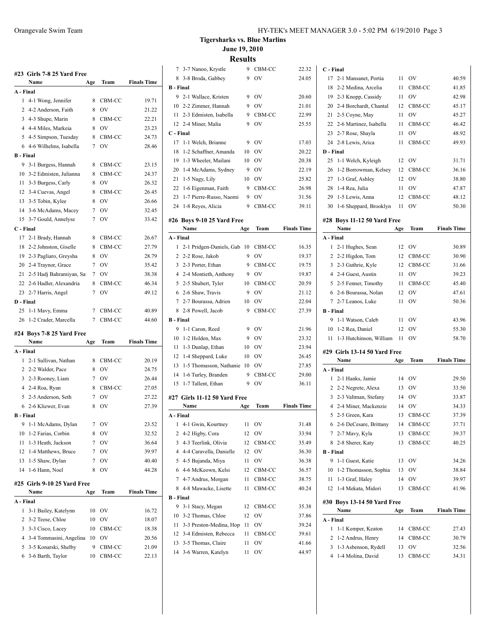|                  |                           |     |        | <b>Finals Time</b> |
|------------------|---------------------------|-----|--------|--------------------|
|                  | Name                      | Age | Team   |                    |
| A - Final        |                           |     |        |                    |
| 1                | 4-1 Wong, Jennifer        | 8   | CBM-CC | 19.71              |
|                  | 2 4-2 Anderson, Faith     | 8   | OV     | 21.22              |
|                  | 3 4-3 Shupe, Marin        | 8   | CBM-CC | 22.21              |
|                  | 4 4-4 Miles, Markeia      | 8   | OV     | 23.23              |
| 5.               | 4-5 Simpson, Tuesday      | 8   | CBM-CC | 24.73              |
|                  | 6 4-6 Wilhelms, Isabella  | 7   | OV     | 28.46              |
| <b>B</b> - Final |                           |     |        |                    |
|                  | 9 3-1 Burgess, Hannah     | 8   | CBM-CC | 23.15              |
|                  | 10 3-2 Edmisten, Julianna | 8   | CBM-CC | 24.37              |
| 11               | 3-3 Burgess, Carly        | 8   | OV     | 26.32              |
|                  | 12 3-4 Cuevas, Angel      | 8   | CBM-CC | 26.45              |
|                  | 13 3-5 Tobin, Kylee       | 8   | OV     | 26.66              |
|                  | 14 3-6 McAdams, Macey     | 7   | OV     | 32.45              |
| 15               | 3-7 Gould, Annelyse       | 7   | OV     | 33.42              |
|                  | C - Final                 |     |        |                    |
| 17               | 2-1 Brady, Hannah         | 8   | CBM-CC | 26.67              |
| 18               | 2-2 Johnston, Giselle     | 8   | CBM-CC | 27.79              |
| 19               | 2-3 Pagliaro, Greysha     | 8   | OV     | 28.79              |
|                  | 20 2-4 Traynor, Grace     | 7   | OV     | 35.42              |
| 21               | 2-5 Hadj Bahramiyan, Sa   | 7   | OV     | 38.38              |
| 22               | 2-6 Hadler, Alexandria    | 8   | CBM-CC | 46.34              |
|                  | 23 2-7 Harris, Angel      | 7   | OV     | 49.12              |
| D - Final        |                           |     |        |                    |
| 25               | 1-1 Mavy, Emma            | 7   | CBM-CC | 40.89              |
| 26               | 1-2 Crader, Marcella      | 7   | CBM-CC | 44.60              |

#### **#24 Boys 7-8 25 Yard Free**

|                  | Name                        | Age | Team      | <b>Finals Time</b> |
|------------------|-----------------------------|-----|-----------|--------------------|
| A - Final        |                             |     |           |                    |
| 1                | 2-1 Sullivan, Nathan        | 8   | CBM-CC    | 20.19              |
| $\overline{2}$   | 2-2 Walder, Pace            | 8   | OV        | 24.75              |
| 3                | 2-3 Rooney, Liam            | 7   | OV        | 26.44              |
| 4                | 2-4 Roa, Ryan               | 8   | CBM-CC    | 27.05              |
| 5                | 2-5 Anderson, Seth          | 7   | OV        | 27.22              |
|                  | 6 2-6 Kliewer, Evan         | 8   | OV        | 27.39              |
| <b>B</b> - Final |                             |     |           |                    |
| 9                | 1-1 McAdams, Dylan          | 7   | OV        | 23.52              |
| 10               | 1-2 Farias, Corbin          | 8   | OV        | 32.52              |
| 11               | 1-3 Heath, Jackson          | 7   | OV        | 36.64              |
| 12               | 1-4 Matthews, Bruce         | 7   | <b>OV</b> | 39.97              |
| 13               | 1-5 Shaw, Dylan             | 7   | OV        | 40.40              |
| 14               | 1-6 Hann, Noel              | 8   | OV        | 44.28              |
|                  | #25 Girls 9-10 25 Yard Free |     |           |                    |
|                  | Name                        | Age | Team      | <b>Finals Time</b> |
| A - Final        |                             |     |           |                    |
| 1                | 3-1 Bailey, Katelynn        | 10  | OV        | 16.72              |
| 2                | 3-2 Teese, Chloe            | 10  | OV        | 18.07              |
| 3                | 3-3 Cisco, Lacey            | 10  | CBM-CC    | 18.38              |
| $\overline{4}$   | 3-4 Tommasini, Angelina     | 10  | OV        | 20.56              |
| 5                | 3-5 Konarski, Shelby        | 9   | CBM-CC    | 21.09              |
| 6                | 3-6 Barth, Taylor           | 10  | CBM-CC    | 22.13              |

**Tigersharks vs. Blue Marlins June 19, 2010 Results**

|                  |                              | Results |                |                    |
|------------------|------------------------------|---------|----------------|--------------------|
|                  | 7 3-7 Nanoo, Krystle         | 9       | CBM-CC         | 22.32              |
| 8                | 3-8 Broda, Gabbey            | 9       | OV             | 24.05              |
| <b>B</b> - Final |                              |         |                |                    |
|                  | 9 2-1 Wallace, Kristen       | 9       | OV             | 20.60              |
|                  | 10 2-2 Zimmer, Hannah        | 9       | OV             | 21.01              |
|                  | 11 2-3 Edmisten, Isabella    | 9       | CBM-CC         | 22.99              |
|                  | 12 2-4 Miner, Malia          | 9       | OV             | 25.55              |
| C - Final        |                              |         |                |                    |
| 17               | 1-1 Welch, Brianne           | 9       | OV             | 17.03              |
| 18               | 1-2 Schaffner, Amanda        | 10      | OV             | 20.22              |
| 19               | 1-3 Wheeler, Mailani         | 10      | OV             | 20.38              |
|                  | 20 1-4 McAdams, Sydney       | 9       | OV             | 22.19              |
|                  | 21 1-5 Nagy, Lily            | 10      | OV             | 25.82              |
| 22               | 1-6 Eigenman, Faith          | 9       | CBM-CC         | 26.98              |
| 23               | 1-7 Pierre-Russo, Naomi      | 9       | OV             | 31.56              |
| 24               | 1-8 Reyes, Alicia            | 9       | CBM-CC         | 39.11              |
|                  | #26 Boys 9-10 25 Yard Free   |         |                |                    |
|                  | Name                         | Age     | Team           | <b>Finals Time</b> |
| A - Final        |                              |         |                |                    |
| 1                | 2-1 Pridgen-Daniels, Gab     | 10      | CBM-CC         | 16.35              |
|                  | 2 2-2 Rose, Jakob            | 9       | OV             | 19.37              |
|                  | 3 2-3 Porter, Ethan          | 9       | CBM-CC         | 19.75              |
|                  | 4 2-4 Montieth, Anthony      | 9       | O <sub>V</sub> | 19.87              |
|                  | 5 2-5 Shubert, Tyler         | 10      | CBM-CC         | 20.59              |
| 6                | 2-6 Shaw, Travis             | 9       | OV             | 21.12              |
| 7                | 2-7 Bourassa, Adrien         | 10      | OV             | 22.04              |
| 8                | 2-8 Powell, Jacob            | 9       | CBM-CC         | 27.39              |
| <b>B</b> - Final |                              |         |                |                    |
| 9                | 1-1 Caron, Reed              | 9       | <b>OV</b>      | 21.96              |
| 10               | 1-2 Holden, Max              | 9       | <b>OV</b>      | 23.32              |
| 11               | 1-3 Dunlap, Ethan            | 10      | <b>OV</b>      | 23.94              |
| 12               | 1-4 Sheppard, Luke           | 10      | <b>OV</b>      | 26.45              |
| 13               | 1-5 Thomasson, Nathanie      | 10      | OV             | 27.85              |
|                  | 14 1-6 Turley, Branden       | 9       | CBM-CC         | 29.00              |
| 15               | 1-7 Tallent, Ethan           | 9       | OV             | 36.11              |
|                  |                              |         |                |                    |
|                  | #27 Girls 11-12 50 Yard Free |         |                |                    |
|                  | Name                         | Age     | Team           | <b>Finals Time</b> |
|                  | <b>Final</b>                 |         |                |                    |
| 1                | 4-1 Gwin, Kourtney           | 11      | OV             | 31.48              |
| 2                | 4-2 Higby, Cora              | 12      | OV             | 33.94              |
| 3                | 4-3 Teerlink, Olivia         | 12      | CBM-CC         | 35.49              |
|                  | 4 4-4 Caravella, Danielle    | 12      | OV             | 36.30              |
| 5                | 4-5 Bujanda, Miya            | 11      | OV             | 36.38              |
|                  | 6 4-6 McKeown, Kelsi         | 12      | CBM-CC         | 36.57              |
|                  | 7 4-7 Andrus, Morgan         | 11      | CBM-CC         | 38.75              |
| 8                | 4-8 Mawacke, Lisette         | 11      | CBM-CC         | 40.24              |
| <b>B</b> - Final |                              |         |                |                    |
| 9                | 3-1 Stacy, Megan             | 12      | CBM-CC         | 35.38              |
| 10               | 3-2 Thomas, Chloe            | 12      | OV             | 37.86              |
| 11               | 3-3 Preston-Medina, Hop      | 11      | OV             | 39.24              |
| 12               | 3-4 Edmisten, Rebecca        | 11      | CBM-CC         | 39.61              |
| 13               | 3-5 Thomas, Claire           | 11      | OV             | 41.66              |
| 14               | 3-6 Warren, Katelyn          | 11      | OV             | 44.97              |

|                  | C - Final                            |     |           |                    |
|------------------|--------------------------------------|-----|-----------|--------------------|
| 17               | 2-1 Mansanet, Portia                 | 11  | <b>OV</b> | 40.59              |
| 18               | 2-2 Medina, Arcelia                  | 11  | CBM-CC    | 41.85              |
| 19               | 2-3 Knopp, Cassidy                   | 11  | OV        | 42.98              |
| 20               | 2-4 Borchardt, Chantal               | 12  | CBM-CC    | 45.17              |
| 21               | 2-5 Coyne, May                       | 11  | <b>OV</b> | 45.27              |
| 22               | 2-6 Martinez, Isabella               | 11  | CBM-CC    | 46.42              |
| 23               | 2-7 Rose, Shayla                     | 11  | OV        | 48.92              |
| 24               | 2-8 Lewis, Arica                     | 11  | CBM-CC    | 49.93              |
| D - Final        |                                      |     |           |                    |
| 25               | 1-1 Welch, Kyleigh                   | 12  | <b>OV</b> | 31.71              |
| 26               | 1-2 Borrowman, Kelsey                | 12  | CBM-CC    | 36.16              |
| 27               | 1-3 Graf, Ashley                     | 12  | <b>OV</b> | 38.80              |
| 28               | 1-4 Rea, Julia                       | 11  | <b>OV</b> | 47.87              |
| 29               | 1-5 Lewis, Anna                      | 12  | CBM-CC    | 48.12              |
| 30               | 1-6 Sheppard, Brooklyn               | 11  | OV        | 50.30              |
|                  | #28 Boys 11-12 50 Yard Free          |     |           |                    |
|                  | Name                                 | Age | Team      | <b>Finals Time</b> |
| A - Final        |                                      |     |           |                    |
| 1                | 2-1 Hughes, Sean                     | 12  | OV        | 30.89              |
| 2                | 2-2 Higdon, Tom                      | 12  | CBM-CC    | 30.90              |
| 3                | 2-3 Guthrie, Kyle                    | 12  | CBM-CC    | 31.66              |
| 4                | 2-4 Guest, Austin                    | 11  | OV        | 39.23              |
| 5                | 2-5 Fenner, Timothy                  | 11  | CBM-CC    | 45.40              |
| 6                | 2-6 Bourassa, Nolan                  | 12  | <b>OV</b> | 47.61              |
| 7                | 2-7 Leanos, Luke                     | 11  | OV        | 50.36              |
| <b>B</b> - Final |                                      |     |           |                    |
| 9                | 1-1 Watson, Caleb                    | 11  | <b>OV</b> | 43.96              |
| 10               | 1-2 Rea, Daniel                      | 12  | OV        | 55.30              |
|                  |                                      |     |           |                    |
| 11               | 1-3 Hutchinson, William              | 11  | OV        | 58.70              |
|                  |                                      |     |           |                    |
|                  | #29 Girls 13-14 50 Yard Free<br>Name |     |           |                    |
| A - Final        |                                      | Age | Team      | <b>Finals Time</b> |
| 1                | 2-1 Hanks, Jamie                     | 14  | OV        | 29.50              |
| 2                | 2-2 Negrete, Alexa                   | 13  | <b>OV</b> | 33.50              |
| 3                | 2-3 Valtman, Stefany                 | 14  | OV        | 33.87              |
| 4                | 2-4 Miner, Mackenzie                 | 14  | <b>OV</b> | 34.33              |
| 5                | 2-5 Green, Kara                      | 13  | CBM-CC    | 37.39              |
| 6                | 2-6 DeCesare, Brittany               | 14  | CBM-CC    | 37.71              |
| 7                | 2-7 Mavy, Kyla                       | 13  | CBM-CC    | 39.37              |
| 8                | 2-8 Sherer, Katy                     | 13  | CBM-CC    | 40.25              |
| <b>B</b> - Final |                                      |     |           |                    |
| 9                | 1-1 Guest, Katie                     | 13  | <b>OV</b> | 34.26              |
| 10               | 1-2 Thomasson, Sophia                | 13  | OV        | 38.84              |
| 11               | 1-3 Graf, Haley                      | 14  | OV        | 39.97              |
| 12               | 1-4 Mekata, Midori                   | 13  | CBM-CC    | 41.96              |
|                  |                                      |     |           |                    |
|                  | #30 Boys 13-14 50 Yard Free<br>Name  | Age | Team      | <b>Finals Time</b> |
| A - Final        |                                      |     |           |                    |
| 1                | 1-1 Kemper, Keaton                   | 14  | CBM-CC    | 27.43              |
| 2                | 1-2 Andrus, Henry                    | 14  | CBM-CC    | 30.79              |
| 3                | 1-3 Asbenson, Rydell                 | 13  | OV        | 32.56              |
| 4                | 1-4 Molina, David                    | 13  | CBM-CC    | 34.31              |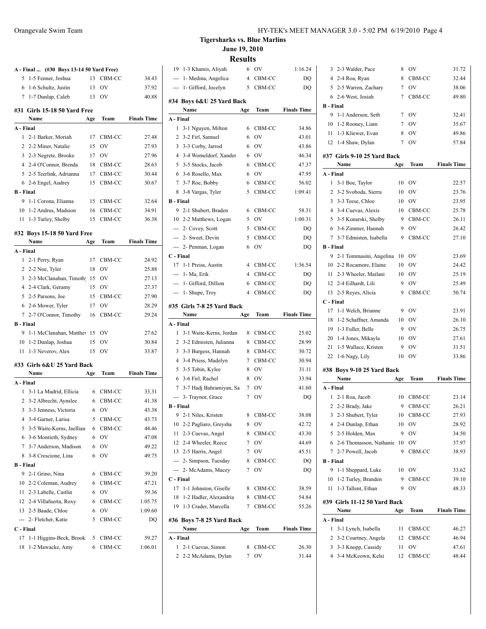|  | HY-TEK's MEET MANAGER 3.0 - 5:02 PM 6/19/2010 Page 4 |  |
|--|------------------------------------------------------|--|
|--|------------------------------------------------------|--|

**Tigersharks vs. Blue Marlins June 19, 2010**

**Results** 

|                        | A - Final  (#30 Boys 13-14 50 Yard Free) |          |                    |                         | 19                                |
|------------------------|------------------------------------------|----------|--------------------|-------------------------|-----------------------------------|
| 5                      | 1-5 Fenner, Joshua                       | 13       | CBM-CC             | 34.43                   |                                   |
|                        | 6 1-6 Schultz, Justin                    | 13       | OV                 | 37.92                   |                                   |
|                        | 7 1-7 Dunlap, Caleb 13 OV                |          |                    | 40.88                   |                                   |
|                        |                                          |          |                    |                         | #34                               |
|                        | #31 Girls 15-18 50 Yard Free             |          |                    |                         |                                   |
|                        | Name                                     | Age      |                    | <b>Team</b> Finals Time | A - 1                             |
| A - Final              |                                          |          |                    |                         | $\mathbf{1}$                      |
|                        | 1 2-1 Barker, Moriah                     | 17       | CBM-CC             | 27.48                   | $\overline{2}$                    |
|                        | 2 2-2 Miner, Natalie                     | 15       | OV                 | 27.93                   | 3                                 |
|                        | 3 2-3 Negrete, Brooke                    |          | 17 OV              | 27.96                   | 4                                 |
|                        | 4 2-4 O'Connor, Brenda                   |          | 18 CBM-CC          | 28.63                   | 5                                 |
|                        | 5 2-5 Teerlink, Adrianna                 |          | 17 CBM-CC          | 30.44                   | 6                                 |
|                        | 6 2-6 Engel, Audrey                      |          | 15 CBM-CC          | 30.67                   | 7<br>8                            |
| <b>B</b> - Final<br>9. |                                          |          |                    |                         |                                   |
|                        | 1-1 Corona, Elianna                      |          | 15 CBM-CC          | 32.64                   | $B - I$<br>9                      |
|                        | 10 1-2 Andrus, Madsion                   | 16<br>15 | CBM-CC<br>$CBM-CC$ | 34.91<br>36.38          | 10                                |
|                        | 11 1-3 Turley, Shelby                    |          |                    |                         | ---                               |
|                        | #32 Boys 15-18 50 Yard Free              |          |                    |                         |                                   |
|                        | Name<br>Age                              |          |                    | <b>Team</b> Finals Time |                                   |
| A - Final              |                                          |          |                    |                         | $C - 1$                           |
|                        | 1 2-1 Perry, Ryan                        | 17       | CBM-CC             | 24.92                   | 17                                |
|                        | 2 2-2 Noe, Tyler                         | 18       | <b>OV</b>          | 25.88                   | ---                               |
|                        | 3 2-3 McClanahan, Timoth 15              |          | <b>OV</b>          | 27.13                   |                                   |
|                        | 4 2-4 Clark, Geramy                      | 15       | OV                 | 27.37                   |                                   |
|                        | 5 2-5 Parsons, Joe                       | 15       | CBM-CC             | 27.90                   |                                   |
|                        | 6 2-6 Mower, Tyler                       | 17       | <b>OV</b>          | 28.29                   | #35                               |
|                        | 7 2-7 O'Connor, Timothy 16               |          | CBM-CC             | 29.24                   |                                   |
| <b>B</b> - Final       |                                          |          |                    |                         | A - 1                             |
|                        | 9 1-1 McClanahan, Matthey 15 OV          |          |                    | 27.62                   | $\mathbf{1}$                      |
|                        | 10 1-2 Dunlap, Joshua                    | 15       | OV                 | 30.84                   | $\overline{\mathbf{c}}$           |
|                        | 11 1-3 Neverov, Alex                     | 15       | OV                 | 33.87                   | 3                                 |
|                        | #33 Girls 6&U 25 Yard Back               |          |                    |                         | 4                                 |
|                        | Name<br>Age                              |          | Team               | <b>Finals Time</b>      | 5                                 |
| A - Final              |                                          |          |                    |                         | 6                                 |
|                        | 1 3-1 La Madrid, Ellicia                 |          | 6 CBM-CC           | 33.31                   | 7                                 |
|                        | 2 3-2 Albrecht, Aynslee                  |          | 6 CBM-CC           | 41.38                   |                                   |
|                        | 3 3-3 Jenness, Victoria                  | 6        | <b>OV</b>          | 43.38                   | $B - I$                           |
|                        | 4 3-4 Garner, Larisa                     |          | 5 CBM-CC           | 43.73                   | 9                                 |
|                        | 5 3-5 Waite-Kerns, Jaellian              | 6        | CBM-CC             | 44.46                   | 10                                |
|                        | 6 3-6 Montieth, Sydney                   | 6        | OV                 | 47.08                   | 11                                |
|                        | 7 3-7 Anderson, Madison                  | 6        | <b>OV</b>          | 49.22                   | 12                                |
|                        | 8 3-8 Crescione, Lina                    | 6        | <b>OV</b>          | 49.75                   | 13                                |
| <b>B</b> - Final       |                                          |          |                    |                         | ---<br>---                        |
|                        | 9 2-1 Grino, Nina                        | 6        | CBM-CC             | 39.20                   |                                   |
|                        | 10 2-2 Coleman, Audrey                   | 6        | CBM-CC             | 47.21                   | $\mathbf{C}$ - $\mathbf{I}$<br>17 |
|                        | 11 2-3 Labelle, Caitlin                  | 6        | <b>OV</b>          | 59.36                   | 18                                |
|                        | 12 2-4 Villafuerta, Roxy                 | 6        | CBM-CC             | 1:05.75                 | 19                                |
|                        | 13 2-5 Baade, Chloe                      | 6        | <b>OV</b>          | 1:09.60                 |                                   |
| ---                    | 2- Fletcher, Katie                       | 5        | CBM-CC             | DQ                      | #36                               |
| C - Final              |                                          |          |                    |                         |                                   |
| 17                     | 1-1 Higgins-Beck, Brook                  | 5        | CBM-CC             | 59.27                   | A - 1                             |
| 18                     | 1-2 Mawacke, Amy                         | 6        | CBM-CC             | 1:06.01                 | 1                                 |
|                        |                                          |          |                    |                         | $\overline{\mathbf{c}}$           |

| 19               | 1-3 Khamis, Aliyah         | 6              | OV           | 1:16.24            |
|------------------|----------------------------|----------------|--------------|--------------------|
|                  | --- 1- Medina, Angelica    | $\overline{4}$ | CBM-CC       | DQ                 |
|                  | --- 1- Gifford, Jocelyn    | 5              | CBM-CC       | DQ                 |
|                  |                            |                |              |                    |
|                  | #34 Boys 6&U 25 Yard Back  |                |              |                    |
|                  | Name                       | Age            | Team         | <b>Finals Time</b> |
| A - Final<br>1   |                            |                |              |                    |
|                  | 3-1 Nguyen, Milton         | 6              | CBM-CC       | 34.86              |
|                  | 2 3-2 Firl, Samuel         | 6              | OV           | 43.01              |
|                  | 3 3-3 Corby, Jarrod        | 6              | <b>OV</b>    | 43.86              |
|                  | 4 3-4 Womeldorf, Xander    | 6              | OV           | 46.34              |
|                  | 5 3-5 Stocks, Jacob        | 6              | CBM-CC       | 47.37              |
|                  | 6 3-6 Rosello, Max         | 6              | <b>OV</b>    | 47.95              |
|                  | 7 3-7 Roe, Bobby           | 6              | CBM-CC       | 56.02              |
|                  | 8 3-8 Vargas, Tyler        | 5.             | CBM-CC       | 1:09.41            |
| <b>B</b> - Final |                            |                |              |                    |
| 9                | 2-1 Shubert, Braden        | 6              | CBM-CC       | 58.31              |
|                  | 10 2-2 Matthews, Logan     | 5              | OV           | 1:00.31            |
|                  | --- 2- Covey, Scott        | 5              | CBM-CC       | DQ                 |
|                  | --- 2- Sweet, Devin        | 5              | CBM-CC       | DQ                 |
|                  | --- 2- Penman, Logan       | 6              | OV           | DQ                 |
| C - Final        |                            |                |              |                    |
|                  | 17 1-1 Preiss, Austin      | $\overline{4}$ | CBM-CC       | 1:36.54            |
|                  | --- 1- Ma, Erik            |                | 4 CBM-CC     | DQ                 |
|                  | --- 1- Gifford, Dillion    | 6              | CBM-CC       | DQ                 |
|                  | $- - 1$ - Shupe, Troy      | 4              | CBM-CC       | DQ                 |
|                  | #35 Girls 7-8 25 Yard Back |                |              |                    |
|                  | Name                       | Age            | Team         | <b>Finals Time</b> |
| A - Final        |                            |                |              |                    |
| 1                | 3-1 Waite-Kerns, Jordan    | 8              | CBM-CC       | 25.02              |
|                  | 2 3-2 Edmisten, Julianna   | 8              | CBM-CC       | 28.99              |
| 3                | 3-3 Burgess, Hannah        | 8              | CBM-CC       | 30.72              |
|                  | 4 3-4 Priess, Madelyn      | 7              | CBM-CC       | 30.94              |
|                  | 5 3-5 Tobin, Kylee         | 8              | <b>OV</b>    | 31.11              |
|                  | 6 3-6 Firl, Rachel         | 8              | <b>OV</b>    | 33.94              |
|                  | 7 3-7 Hadj Bahramiyan, Sa  | $7^{\circ}$    | <b>OV</b>    | 41.60              |
|                  | --- 3- Traynor, Grace      | 7              | OV           | DQ                 |
| <b>B</b> - Final |                            |                |              |                    |
| 9                | 2-1 Niles, Kristen         | 8              | CBM-CC       | 38.08              |
| 10               | 2-2 Pagliaro, Greysha      | 8              | OV           | 42.72              |
| 11               | 2-3 Cuevas, Angel          | 8              | CBM-CC       | 43.30              |
|                  | 12 2-4 Wheeler, Reece      | $\overline{7}$ | <b>OV</b>    | 44.69              |
|                  | 13 2-5 Harris, Angel       | 7              | OV           | 45.51              |
|                  | --- 2- Simpson, Tuesday    | 8              | CBM-CC       | DQ                 |
| ---              | 2- McAdams, Macey          | 7              | OV           | DQ                 |
| C - Final        |                            |                |              |                    |
| 17               | 1-1 Johnston, Giselle      | 8              | CBM-CC       | 38.59              |
| 18               | 1-2 Hadler, Alexandria     | 8              | CBM-CC       | 54.84              |
| 19               | 1-3 Crader, Marcella       | 7              | CBM-CC       | 55.26              |
|                  | #36 Boys 7-8 25 Yard Back  |                |              |                    |
|                  | Name                       | Age            | Team         | <b>Finals Time</b> |
|                  |                            |                |              |                    |
|                  | A - Final                  |                |              |                    |
| 1                |                            | 8              |              |                    |
| $\overline{2}$   | 2-1 Cuevas, Simon          | 7              | CBM-CC<br>OV | 26.30              |
|                  | 2-2 McAdams, Dylan         |                |              | 31.44              |

| 3                | 2-3 Walder, Pace              | 8               | OV        | 31.72              |
|------------------|-------------------------------|-----------------|-----------|--------------------|
|                  | 4 2-4 Roa, Ryan               | 8               | CBM-CC    | 32.44              |
|                  | 5 2-5 Warren, Zachary         | $7\phantom{.0}$ | OV        | 38.06              |
| 6                | 2-6 West, Josiah              | 7               | CBM-CC    | 49.80              |
| B - Final        |                               |                 |           |                    |
| 9                | 1-1 Anderson, Seth            | $7^{\circ}$     | OV        | 32.41              |
| 10               | 1-2 Rooney, Liam              | 7               | OV        | 35.67              |
| 11               | 1-3 Kliewer, Evan             | 8               | <b>OV</b> | 49.86              |
|                  | 12 1-4 Shaw, Dylan            | 7               | <b>OV</b> | 57.84              |
|                  | #37  Girls 9-10 25 Yard Back  |                 |           |                    |
|                  | Name                          | Age             | Team      | <b>Finals Time</b> |
| A - Final        |                               |                 |           |                    |
| 1                | 3-1 Boe, Taylor               | 10              | OV        | 22.57              |
|                  | 2 3-2 Svoboda, Sierra         | 10              | OV        | 23.76              |
|                  | 3 3-3 Teese, Chloe            | 10              | OV        | 23.95              |
|                  | 4 3-4 Cuevas, Alexis          | 10              | CBM-CC    | 25.78              |
|                  | 5 3-5 Konarski, Shelby        | 9               | CBM-CC    | 26.11              |
|                  | 6 3-6 Zimmer, Hannah          | 9               | <b>OV</b> | 26.42              |
| $7\overline{ }$  | 3-7 Edmisten, Isabella        | 9               | CBM-CC    | 27.10              |
| B - Final        |                               |                 |           |                    |
| 9                | 2-1 Tommasini, Angelina       | 10              | OV        | 23.69              |
|                  | 10 2-2 Rocamore, Elaine       | 10              | OV        | 24.42              |
| 11               | 2-3 Wheeler, Mailani          | 10              | OV        | 25.19              |
|                  |                               | 9               | OV        |                    |
| 12               | 2-4 Eilhardt, Lili            |                 |           | 25.49              |
| 13               | 2-5 Reyes, Alicia             | 9               | CBM-CC    | 50.74              |
| C - Final        |                               |                 |           |                    |
| 17               | 1-1 Welch, Brianne            | 9               | <b>OV</b> | 23.91              |
| 18               | 1-2 Schaffner, Amanda         | 10              | OV        | 26.10              |
|                  |                               |                 |           |                    |
|                  | 19 1-3 Fuller, Belle          | 9               | OV        | 26.75              |
| 20               | 1-4 Jones, Mikayla            | 10              | OV        | 27.61              |
| 21               | 1-5 Wallace, Kristen          | 9               | OV        | 31.51              |
| 22               | 1-6 Nagy, Lily                | 10              | OV        | 33.86              |
|                  | #38 Boys 9-10 25 Yard Back    |                 |           |                    |
|                  | Name                          | Age             | Team      | <b>Finals Time</b> |
| A - Final        |                               |                 |           |                    |
| 1                | 2-1 Roa, Jacob                |                 | 10 CBM-CC | 23.14              |
|                  | 2 2-2 Brady, Jake             | 9               | CBM-CC    | 26.21              |
|                  | 3 2-3 Shubert, Tyler          | 10              | CBM-CC    | 27.93              |
|                  | 4 2-4 Dunlap, Ethan           | 10              | OV        | 28.92              |
|                  | 5 2-5 Holden, Max             | 9               | OV        | 34.50              |
|                  | 6 2-6 Thomasson, Nathanie     | 10              | OV        | 37.97              |
|                  | 7 2-7 Powell, Jacob           | 9               | CBM-CC    | 38.93              |
| <b>B</b> - Final |                               |                 |           |                    |
| 9                | 1-1 Sheppard, Luke            | 10              | OV        | 33.62              |
| 10               | 1-2 Turley, Branden           | 9               | CBM-CC    | 39.10              |
| 11               | 1-3 Tallent, Ethan            | 9               | OV        | 48.33              |
|                  |                               |                 |           |                    |
|                  | #39  Girls 11-12 50 Yard Back |                 |           |                    |
|                  | Name                          | Age             | Team      | <b>Finals Time</b> |
| A - Final<br>1   |                               | 11              |           |                    |
|                  | 3-1 Lynch, Isabella           |                 | CBM-CC    | 46.27              |
| $\overline{2}$   | 3-2 Courtney, Angela          | 12              | CBM-CC    | 46.94              |
| 3                | 3-3 Knopp, Cassidy            | 11              | OV        | 47.61              |
|                  | 4 3-4 McKeown, Kelsi          | 12              | CBM-CC    | 48.44              |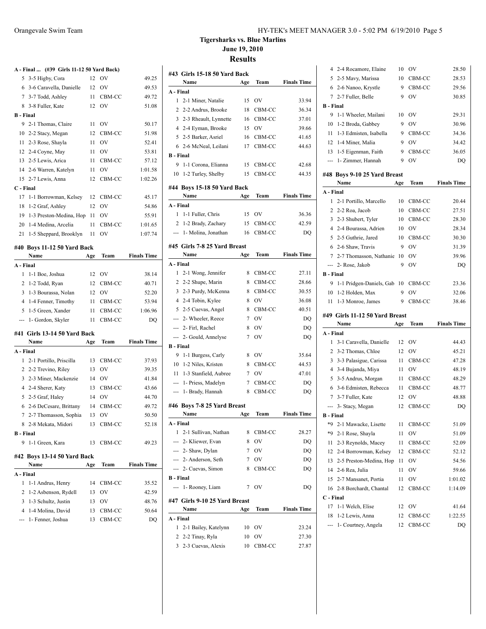**B - Final**

**C - Final**

**A - Final**

**A - Final**

**B - Final**

**A - Final**

**A - Final ... (#39 Girls 11-12 50 Yard Back)**

**Tigersharks vs. Blue Marlins June 19, 2010**

**Results**

 $\overline{1}$ 

| - ГШАІ  (#J7 ЧНІВ 11-14 JV ТАГИ DAUK) |     |           |                    |                  | #43 Girls 15-18 50 Yard Back  |             |               |                    |
|---------------------------------------|-----|-----------|--------------------|------------------|-------------------------------|-------------|---------------|--------------------|
| 5 3-5 Higby, Cora                     |     | 12 OV     | 49.25              |                  | Name                          | Age         | Team          | <b>Finals Time</b> |
| 6 3-6 Caravella, Danielle             |     | 12 OV     | 49.53              | A - Final        |                               |             |               |                    |
| 7 3-7 Todd, Ashley                    | 11  | CBM-CC    | 49.72              |                  | 1 2-1 Miner, Natalie          | 15          | <b>OV</b>     | 33.94              |
| 8 3-8 Fuller, Kate                    |     | 12 OV     | 51.08              |                  | 2 2-2 Andrus, Brooke          | 18          | CBM-CC        | 36.34              |
| ا - Final                             |     |           |                    |                  | 3 2-3 Rheault, Lynnette       | 16          | CBM-CC        | 37.01              |
| 9 2-1 Thomas, Claire                  |     | $11$ OV   | 50.17              |                  | 4 2-4 Eyman, Brooke           | 15          | <b>OV</b>     | 39.66              |
| 10 2-2 Stacy, Megan                   | 12  | CBM-CC    | 51.98              |                  | 5 2-5 Barker, Asriel          | 16          | CBM-CC        | 41.65              |
| 11 2-3 Rose, Shayla                   | 11  | <b>OV</b> | 52.41              |                  | 6 2-6 McNeal, Leilani         | 17          | CBM-CC        | 44.63              |
| 12 2-4 Coyne, May                     | 11  | <b>OV</b> | 53.81              | <b>B</b> - Final |                               |             |               |                    |
| 13 2-5 Lewis, Arica                   | 11  | CBM-CC    | 57.12              |                  | 9 1-1 Corona, Elianna         | 15          | CBM-CC        | 42.68              |
| 14 2-6 Warren, Katelyn                | 11  | OV        | 1:01.58            |                  | 10 1-2 Turley, Shelby         | 15          | CBM-CC        | 44.35              |
| 15 2-7 Lewis, Anna                    |     | 12 CBM-CC | 1:02.26            |                  |                               |             |               |                    |
| ' - Final                             |     |           |                    |                  | #44 Boys 15-18 50 Yard Back   |             |               |                    |
| 17 1-1 Borrowman, Kelsey              | 12  | CBM-CC    | 45.17              |                  | Name                          | Age         | Team          | <b>Finals Time</b> |
| 18 1-2 Graf, Ashley                   |     | 12 OV     | 54.86              | A - Final        |                               |             |               |                    |
| 19 1-3 Preston-Medina, Hop 11         |     | <b>OV</b> | 55.91              |                  | 1 1-1 Fuller, Chris           | 15          | <b>OV</b>     | 36.36              |
| 20 1-4 Medina, Arcelia                | 11  | CBM-CC    | 1:01.65            |                  | 2 1-2 Brady, Zachary          | 15          | CBM-CC        | 42.59              |
| 21 1-5 Sheppard, Brooklyn             | 11  | OV        | 1:07.74            |                  | --- 1- Molina, Jonathan       | 16          | CBM-CC        | DQ                 |
|                                       |     |           |                    |                  | #45 Girls 7-8 25 Yard Breast  |             |               |                    |
| 40 Boys 11-12 50 Yard Back            |     |           |                    |                  | Name                          | Age         | Team          | <b>Finals Time</b> |
| Name                                  | Age | Team      | <b>Finals Time</b> | A - Final        |                               |             |               |                    |
| - Final                               |     |           |                    |                  |                               | 8           | CBM-CC        | 27.11              |
| 1 1-1 Boe, Joshua                     |     | 12 OV     | 38.14              |                  | 1 2-1 Wong, Jennifer          |             |               |                    |
| 2 1-2 Todd, Ryan                      |     | 12 CBM-CC | 40.71              |                  | 2 2-2 Shupe, Marin            | 8           | CBM-CC        | 28.66              |
| 3 1-3 Bourassa, Nolan                 | 12  | - OV      | 52.20              |                  | 3 2-3 Purdy, McKenna          | 8           | CBM-CC        | 30.55              |
| 4 1-4 Fenner, Timothy                 | 11  | CBM-CC    | 53.94              |                  | 4 2-4 Tobin, Kylee            | 8           | <b>OV</b>     | 36.08              |
| 5 1-5 Green, Xander                   | 11  | CBM-CC    | 1:06.96            |                  | 5 2-5 Cuevas, Angel           | 8           | CBM-CC        | 40.51              |
| --- 1- Gordon, Skyler                 | 11  | CBM-CC    | DQ                 |                  | --- 2- Wheeler, Reece         | 7           | <b>OV</b>     | DQ                 |
| 41 Girls 13-14 50 Yard Back           |     |           |                    |                  | --- 2- Firl, Rachel           | 8           | <b>OV</b>     | DQ                 |
| Name                                  | Age | Team      | <b>Finals Time</b> |                  | --- 2- Gould, Annelyse        | 7           | <b>OV</b>     | DQ                 |
| . - Final                             |     |           |                    | <b>B</b> - Final |                               |             |               |                    |
| 1 2-1 Portillo, Priscilla             | 13  | CBM-CC    | 37.93              |                  | 9 1-1 Burgess, Carly          | 8           | <b>OV</b>     | 35.64              |
| 2 2-2 Trevino, Riley                  | 13  | <b>OV</b> | 39.35              |                  | 10 1-2 Niles, Kristen         |             | 8 CBM-CC      | 44.53              |
| 3 2-3 Miner, Mackenzie                |     | 14 OV     | 41.84              |                  | 11 1-3 Stanfield, Aubree      | $7^{\circ}$ | <b>OV</b>     | 47.01              |
| 4 2-4 Sherer, Katy                    |     | 13 CBM-CC | 43.66              |                  | --- 1- Priess, Madelyn        | 7           | CBM-CC        | DQ                 |
| 5 2-5 Graf, Haley                     | 14  | <b>OV</b> | 44.70              |                  | --- 1- Brady, Hannah          | 8           | CBM-CC        | DQ                 |
| 6 2-6 DeCesare, Brittany              |     | 14 CBM-CC | 49.72              |                  | #46 Boys 7-8 25 Yard Breast   |             |               |                    |
| 7 2-7 Thomasson, Sophia               | 13  | - OV      | 50.50              |                  | Name                          | Age         | Team          | <b>Finals Time</b> |
| 8 2-8 Mekata, Midori                  | 13  | CBM-CC    | 52.18              | A - Final        |                               |             |               |                    |
| - Final                               |     |           |                    |                  | 1 2-1 Sullivan, Nathan        | 8           | CBM-CC        | 28.27              |
| 9 1-1 Green, Kara                     |     | 13 CBM-CC | 49.23              |                  | --- 2- Kliewer, Evan          | 8           | <b>OV</b>     | DQ                 |
|                                       |     |           |                    |                  | --- 2- Shaw, Dylan            | 7           | <b>OV</b>     | DQ                 |
| 42 Boys 13-14 50 Yard Back            |     |           |                    |                  | --- 2- Anderson, Seth         | 7           | OV            | DQ                 |
| Name                                  | Age | Team      | <b>Finals Time</b> |                  | --- 2- Cuevas, Simon          | 8           | CBM-CC        | DQ                 |
| - Final                               |     |           |                    | <b>B</b> - Final |                               |             |               |                    |
| 1 1-1 Andrus, Henry                   | 14  | CBM-CC    | 35.52              |                  | --- 1- Rooney, Liam           | 7           | <sub>OV</sub> | DQ                 |
| 2 1-2 Asbenson, Rydell                | 13  | <b>OV</b> | 42.59              |                  |                               |             |               |                    |
| 3 1-3 Schultz, Justin                 | 13  | OV        | 48.76              |                  | #47 Girls 9-10 25 Yard Breast |             |               |                    |
| 4 1-4 Molina, David                   | 13  | CBM-CC    | 50.64              |                  | Name                          | Age         | Team          | <b>Finals Time</b> |
| --- 1- Fenner, Joshua                 | 13  | CBM-CC    | DQ                 | A - Final        |                               |             |               |                    |
|                                       |     |           |                    |                  | 1 2-1 Bailey, Katelynn        |             | 10 OV         | 23.24              |
|                                       |     |           |                    |                  | 2 2-2 Tinay, Ryla             |             | 10 OV         | 27.30              |
|                                       |     |           |                    |                  | 3 2-3 Cuevas, Alexis          |             | 10 CBM-CC     | 27.87              |

| 4                | 2-4 Rocamore, Elaine           | 10  | ov        | 28.50              |
|------------------|--------------------------------|-----|-----------|--------------------|
|                  | 5 2-5 Mavy, Marissa            | 10  | CBM-CC    | 28.53              |
|                  | 6 2-6 Nanoo, Krystle           | 9   | CBM-CC    | 29.56              |
|                  | 7 2-7 Fuller, Belle            | 9   | OV        | 30.85              |
| <b>B</b> - Final |                                |     |           |                    |
| 9                | 1-1 Wheeler, Mailani           | 10  | <b>OV</b> | 29.31              |
| 10               | 1-2 Broda, Gabbey              | 9   | <b>OV</b> | 30.96              |
| 11               | 1-3 Edmisten, Isabella         | 9   | CBM-CC    | 34.36              |
|                  | 12 1-4 Miner, Malia            | 9   | <b>OV</b> | 34.42              |
|                  | 13 1-5 Eigenman, Faith         | 9   | CBM-CC    | 36.05              |
|                  | --- 1- Zimmer, Hannah          | 9   | OV        | DO                 |
|                  |                                |     |           |                    |
|                  | #48 Boys 9-10 25 Yard Breast   |     |           |                    |
|                  | Name                           | Age | Team      | <b>Finals Time</b> |
| A - Final        |                                |     |           |                    |
| 1                | 2-1 Portillo, Marcello         | 10  | CBM-CC    | 20.44              |
| 2                | 2-2 Roa, Jacob                 | 10  | CBM-CC    | 27.51              |
| 3                | 2-3 Shubert, Tyler             | 10  | CBM-CC    | 28.30              |
|                  | 4 2-4 Bourassa, Adrien         | 10  | 0V        | 28.34              |
| 5                | 2-5 Guthrie, Jared             | 10  | CBM-CC    | 30.30              |
|                  | 6 2-6 Shaw, Travis             | 9   | OV        | 31.39              |
|                  | 7 2-7 Thomasson, Nathanie      | 10  | OV        | 39.96              |
|                  | --- 2- Rose, Jakob             | 9   | OV        | DQ                 |
| <b>B</b> - Final |                                |     |           |                    |
| 9                | 1-1 Pridgen-Daniels, Gab       | 10  | CBM-CC    | 23.36              |
| 10               | 1-2 Holden, Max                | 9   | OV        | 32.06              |
|                  |                                |     |           |                    |
| 11               |                                | 9   | CBM-CC    | 38.46              |
|                  | 1-3 Monroe, James              |     |           |                    |
|                  | #49 Girls 11-12 50 Yard Breast |     |           |                    |
|                  | Name                           | Age | Team      | <b>Finals Time</b> |
| A - Final        |                                |     |           |                    |
| 1                | 3-1 Caravella, Danielle        | 12  | OV        | 44.43              |
|                  | 2 3-2 Thomas, Chloe            | 12  | OV        | 45.21              |
| 3                | 3-3 Palasigue, Carissa         | 11  | CBM-CC    | 47.28              |
|                  | 4 3-4 Bujanda, Miya            | 11  | OV        | 48.19              |
|                  | 5 3-5 Andrus, Morgan           | 11  | CBM-CC    | 48.29              |
| 6                | 3-6 Edmisten, Rebecca          | 11  | CBM-CC    | 48.77              |
|                  | 7 3-7 Fuller, Kate             | 12  | OV        | 48.88              |
| ---              | 3- Stacy, Megan                | 12  | CBM-CC    | DQ                 |
| <b>B</b> - Final |                                |     |           |                    |
|                  | *9 2-1 Mawacke, Lisette        |     | 11 CBM-CC | 51.09              |
| *9               | 2-1 Rose, Shayla               | 11  | OV        | 51.09              |
| 11               | 2-3 Reynolds, Macey            | 11  | CBM-CC    | 52.09              |
| 12               | 2-4 Borrowman, Kelsey          | 12  | CBM-CC    | 52.12              |
| 13               | 2-5 Preston-Medina, Hop        | 11  | OV        | 54.56              |
| 14               | 2-6 Rea, Julia                 | 11  | OV        | 59.66              |
| 15               | 2-7 Mansanet, Portia           | 11  | OV        | 1:01.02            |
| 16               | 2-8 Borchardt, Chantal         | 12  | CBM-CC    | 1:14.09            |
| C - Final        |                                |     |           |                    |
| 17               | 1-1 Welch, Elise               | 12  | OV        | 41.64              |
| 18               | 1-2 Lewis, Anna                | 12  | CBM-CC    | 1:22.55            |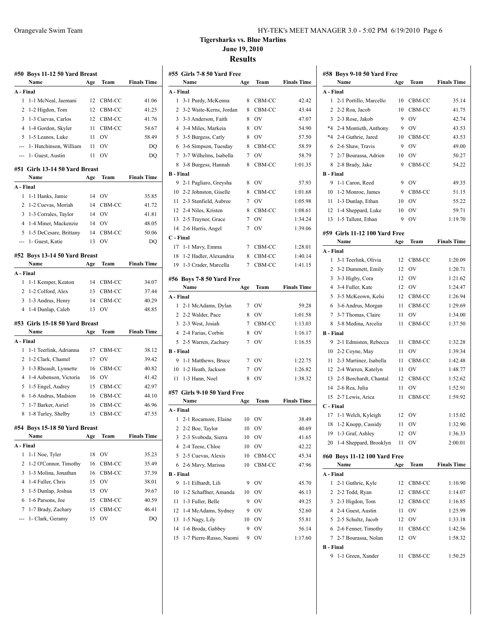| HY-TEK's MEET MANAGER 3.0 - 5:02 PM 6/19/2010 Page 6 |
|------------------------------------------------------|
|------------------------------------------------------|

### **Tigersharks vs. Blue Marlins June 19, 2010 Results**

| #50       | Boys 11-12 50 Yard Breast      |     |                |                    |
|-----------|--------------------------------|-----|----------------|--------------------|
|           | Name                           | Age | Team           | <b>Finals Time</b> |
| A - Final |                                |     |                |                    |
| 1         | 1-1 McNeal, Jaemani            | 12  | CBM-CC         | 41.06              |
| 2         | 1-2 Higdon, Tom                | 12  | CBM-CC         | 41.25              |
| 3         | 1-3 Cuevas, Carlos             | 12  | CBM-CC         | 41.76              |
| 4         | 1-4 Gordon, Skyler             | 11  | CBM-CC         | 54.67              |
| 5         | 1-5 Leanos, Luke               | 11  | OV             | 58.49              |
| ---       | 1- Hutchinson, William         | 11  | OV             | DQ                 |
| ---       | 1- Guest, Austin               | 11  | OV             | DQ                 |
|           | #51 Girls 13-14 50 Yard Breast |     |                |                    |
|           | Name                           | Age | Team           | <b>Finals Time</b> |
| A - Final |                                |     |                |                    |
| 1         | 1-1 Hanks, Jamie               | 14  | OV             | 35.85              |
| 2         | 1-2 Cuevas, Moriah             | 14  | CBM-CC         | 41.72              |
| 3         | 1-3 Corrales, Taylor           | 14  | OV             | 41.81              |
| 4         | 1-4 Miner, Mackenzie           | 14  | <b>OV</b>      | 48.05              |
| 5         | 1-5 DeCesare, Brittany         | 14  | CBM-CC         | 50.06              |
| ---       | 1- Guest, Katie                | 13  | O <sub>V</sub> | DQ                 |
| #52       | Boys 13-14 50 Yard Breast      |     |                |                    |
|           | Name                           | Age | Team           | <b>Finals Time</b> |
| A - Final |                                |     |                |                    |
| 1         | 1-1 Kemper, Keaton             | 14  | CBM-CC         | 34.07              |
| 2         | 1-2 Colford, Alex              | 13  | CBM-CC         | 37.44              |
| 3         | 1-3 Andrus, Henry              | 14  | CBM-CC         | 40.29              |
| 4         | 1-4 Dunlap, Caleb              | 13  | OV             | 48.85              |
|           | #53 Girls 15-18 50 Yard Breast |     |                |                    |
|           | Name                           | Age | Team           | <b>Finals Time</b> |
| A - Final |                                |     |                |                    |
| 1         | 1-1 Teerlink, Adrianna         | 17  | CBM-CC         | 38.12              |
| 2         | 1-2 Clark, Chantel             | 17  | OV             | 39.42              |
| 3         | 1-3 Rheault, Lynnette          | 16  | CBM-CC         | 40.82              |
| 4         | 1-4 Asbenson, Victoria         | 16  | <b>OV</b>      | 41.42              |
| 5         | 1-5 Engel, Audrey              | 15  | CBM-CC         | 42.97              |
| 6         | 1-6 Andrus, Madsion            | 16  | CBM-CC         | 44.10              |
| 7         | 1-7 Barker, Asriel             | 16  | CBM-CC         | 46.96              |
| 8         | 1-8 Turley, Shelby             | 15  | CBM-CC         | 47.55              |
|           | #54 Boys 15-18 50 Yard Breast  |     |                |                    |
|           | Name                           | Age | Team           | <b>Finals Time</b> |
| A - Final |                                |     |                |                    |
| 1         | 1-1 Noe, Tyler                 | 18  | OV             | 35.23              |
| 2         | 1-2 O'Connor, Timothy          | 16  | CBM-CC         | 35.49              |
| 3         | 1-3 Molina, Jonathan           | 16  | CBM-CC         | 37.39              |
| 4         | 1-4 Fuller, Chris              | 15  | OV             | 38.01              |
| 5         | 1-5 Dunlap, Joshua             | 15  | OV             | 39.67              |
| 6         | 1-6 Parsons, Joe               | 15  | CBM-CC         | 40.59              |
| 7         | 1-7 Brady, Zachary             | 15  | CBM-CC         | 46.41              |
|           | 1- Clark, Geramy               | 15  | OV             | DQ                 |
|           |                                |     |                |                    |
|           |                                |     |                |                    |

|                  | #55 Girls 7-8 50 Yard Free  |        |           |                    |
|------------------|-----------------------------|--------|-----------|--------------------|
|                  | Name                        | Age    | Team      | <b>Finals Time</b> |
| A - Final        |                             |        |           |                    |
| 1                | 3-1 Purdy, McKenna          | 8      | CBM-CC    | 42.42              |
| 2                | 3-2 Waite-Kerns, Jordan     | 8      | CBM-CC    | 43.44              |
| 3                | 3-3 Anderson, Faith         | 8      | OV        | 47.07              |
| 4                | 3-4 Miles, Markeia          | 8      | OV        | 54.90              |
| 5                | 3-5 Burgess, Carly          | 8      | OV        | 57.50              |
| 6                | 3-6 Simpson, Tuesday        | 8      | CBM-CC    | 58.59              |
| 7                | 3-7 Wilhelms, Isabella      | 7      | <b>OV</b> | 58.79              |
| 8                | 3-8 Burgess, Hannah         | 8      | CBM-CC    | 1:01.35            |
| <b>B</b> - Final |                             |        |           |                    |
| 9                | 2-1 Pagliaro, Greysha       | 8      | OV        | 57.93              |
| 10               | 2-2 Johnston, Giselle       | 8      | CBM-CC    | 1:01.68            |
| 11               | 2-3 Stanfield, Aubree       | 7      | OV        | 1:05.98            |
|                  | 12 2-4 Niles, Kristen       | 8      | CBM-CC    | 1:08.61            |
|                  | 13 2-5 Traynor, Grace       | 7      | OV        | 1:34.24            |
| 14               | 2-6 Harris, Angel           | 7      | <b>OV</b> | 1:39.06            |
| C - Final        |                             |        |           |                    |
| 17               | 1-1 Mavy, Emma              | 7      | CBM-CC    | 1:28.01            |
| 18               | 1-2 Hadler, Alexandria      | 8      | CBM-CC    | 1:40.14            |
| 19               | 1-3 Crader, Marcella        | 7      | CBM-CC    | 1:41.15            |
|                  |                             |        |           |                    |
|                  | #56 Boys 7-8 50 Yard Free   |        |           |                    |
|                  | Name                        | Age    | Team      | <b>Finals Time</b> |
| A - Final<br>1   | 2-1 McAdams, Dylan          | 7      | <b>OV</b> | 59.28              |
|                  | 2 2-2 Walder, Pace          | 8      | OV        | 1:01.58            |
| 3                | 2-3 West, Josiah            | 7      | CBM-CC    | 1:13.03            |
| 4                |                             | 8      | OV        | 1:16.17            |
| 5                | 2-4 Farias, Corbin          | 7      | OV        | 1:16.55            |
| <b>B</b> - Final | 2-5 Warren, Zachary         |        |           |                    |
| 9                |                             |        | <b>OV</b> |                    |
|                  | 1-1 Matthews, Bruce         | 7<br>7 |           | 1:22.75            |
| 10               | 1-2 Heath, Jackson          |        | OV        | 1:26.82            |
| 11               | 1-3 Hann, Noel              | 8      | OV        | 1:38.32            |
|                  | #57 Girls 9-10 50 Yard Free |        |           |                    |
|                  | Name                        | Age    | Team      | <b>Finals Time</b> |
| A - Final        |                             |        |           |                    |
| 1                | 2-1 Rocamore, Elaine        | 10     | OV        | 38.49              |
|                  | 2 2-2 Boe, Taylor           | 10     | OV        | 40.69              |
| 3                | 2-3 Svoboda, Sierra         | 10     | OV        | 41.65              |
| 4                | 2-4 Teese, Chloe            | 10     | OV        | 42.22              |
| 5                | 2-5 Cuevas, Alexis          | 10     | CBM-CC    | 45.34              |
| 6                | 2-6 Mavy, Marissa           | 10     | CBM-CC    | 47.96              |
| <b>B</b> - Final |                             |        |           |                    |
| 9                | 1-1 Eilhardt, Lili          | 9      | OV        | 45.70              |
| 10               | 1-2 Schaffner, Amanda       | 10     | OV        | 46.13              |
| 11               | 1-3 Fuller, Belle           | 9      | OV        | 49.25              |
| 12               | 1-4 McAdams, Sydney         | 9      | OV        | 52.60              |
| 13               | 1-5 Nagy, Lily              | 10     | OV        | 55.81              |
| 14               | 1-6 Broda, Gabbev           | 9      | OV        | 56.14              |
| 15               | 1-7 Pierre-Russo, Naomi     | 9      | OV        | 1:17.60            |
|                  |                             |        |           |                    |

|                       | #58 Boys 9-10 50 Yard Free<br>Name | Age | Team      | <b>Finals Time</b> |
|-----------------------|------------------------------------|-----|-----------|--------------------|
| A - Final             |                                    |     |           |                    |
| 1                     | 2-1 Portillo, Marcello             | 10  | CBM-CC    | 35.14              |
| 2                     | 2-2 Roa, Jacob                     | 10  | CBM-CC    | 41.75              |
| 3                     | 2-3 Rose, Jakob                    | 9   | OV        | 42.74              |
|                       | *4 2-4 Montieth, Anthony           | 9   | <b>OV</b> | 43.53              |
|                       | *4 2-4 Guthrie, Jared              | 10  | CBM-CC    | 43.53              |
| 6                     | 2-6 Shaw, Travis                   | 9   | <b>OV</b> | 49.00              |
| 7                     | 2-7 Bourassa, Adrien               | 10  | OV        | 50.27              |
|                       | 8 2-8 Brady, Jake                  | 9   | CBM-CC    | 54.22              |
| <b>B</b> - Final      |                                    |     |           |                    |
| 9                     | 1-1 Caron, Reed                    | 9   | <b>OV</b> | 49.35              |
| 10                    | 1-2 Monroe, James                  | 9   | CBM-CC    | 51.15              |
| 11                    | 1-3 Dunlap, Ethan                  | 10  | OV        | 55.22              |
| 12                    | 1-4 Sheppard, Luke                 | 10  | OV        | 59.71              |
| 13                    | 1-5 Tallent, Ethan                 | 9   | OV        | 1:19.70            |
|                       |                                    |     |           |                    |
|                       | #59 Girls 11-12 100 Yard Free      |     |           |                    |
|                       | Name                               | Age | Team      | <b>Finals Time</b> |
| A - Final             |                                    |     |           |                    |
| 1                     | 3-1 Teerlink, Olivia               | 12  | CBM-CC    | 1:20.09            |
|                       | 2 3-2 Dummett, Emily               | 12  | OV        | 1:20.71            |
| 3                     | 3-3 Higby, Cora                    | 12  | OV        | 1:21.62            |
|                       | 4 3-4 Fuller, Kate                 | 12  | OV        | 1:24.47            |
| 5                     | 3-5 McKeown, Kelsi                 | 12  | CBM-CC    | 1:26.94            |
| 6                     | 3-6 Andrus, Morgan                 | 11  | CBM-CC    | 1:29.69            |
| 7                     | 3-7 Thomas, Claire                 | 11  | OV        | 1:34.00            |
| 8<br><b>B</b> - Final | 3-8 Medina, Arcelia                | 11  | CBM-CC    | 1:37.50            |
| 9                     | 2-1 Edmisten, Rebecca              | 11  | CBM-CC    | 1:32.28            |
| 10                    | 2-2 Coyne, May                     | 11  | OV        | 1:39.34            |
| 11                    | 2-3 Martinez, Isabella             | 11  | CBM-CC    | 1:42.48            |
| 12                    | 2-4 Warren, Katelyn                | 11  | OV        | 1:48.77            |
| 13                    | 2-5 Borchardt, Chantal             | 12  | CBM-CC    | 1:52.62            |
| 14                    | 2-6 Rea, Julia                     | 11  | OV        | 1:52.91            |
| 15                    | 2-7 Lewis, Arica                   | 11  | CBM-CC    | 1:59.92            |
| C - Final             |                                    |     |           |                    |
| 17                    | 1-1 Welch, Kyleigh                 | 12  | - OV      | 1:15.02            |
| 18                    | 1-2 Knopp, Cassidy                 |     | 11 OV     | 1:32.90            |
| 19                    | 1-3 Graf, Ashley                   | 12  | OV        | 1:36.33            |
| 20                    | 1-4 Sheppard, Brooklyn             | 11  | OV        | 2:00.01            |
|                       | #60 Boys 11-12 100 Yard Free       |     |           |                    |
|                       | Name                               | Age | Team      | <b>Finals Time</b> |
| A - Final             |                                    |     |           |                    |
| 1                     | 2-1 Guthrie, Kyle                  | 12  | CBM-CC    | 1:10.90            |
|                       | 2 2-2 Todd, Ryan                   | 12  | CBM-CC    | 1:14.07            |
|                       | 3 2-3 Higdon, Tom                  | 12  | CBM-CC    | 1:16.85            |
|                       | 4 2-4 Guest, Austin                | 11  | OV        | 1:25.99            |
|                       | 5 2-5 Schultz, Jacob               | 12  | OV        | 1:33.18            |
|                       | 6 2-6 Fenner, Timothy              | 11  | CBM-CC    | 1:42.56            |
| 7                     | 2-7 Bourassa, Nolan                | 12  | OV        | 1:58.32            |
| <b>B</b> - Final      |                                    |     |           |                    |
| 9                     | 1-1 Green, Xander                  | 11  | CBM-CC    | 1:50.25            |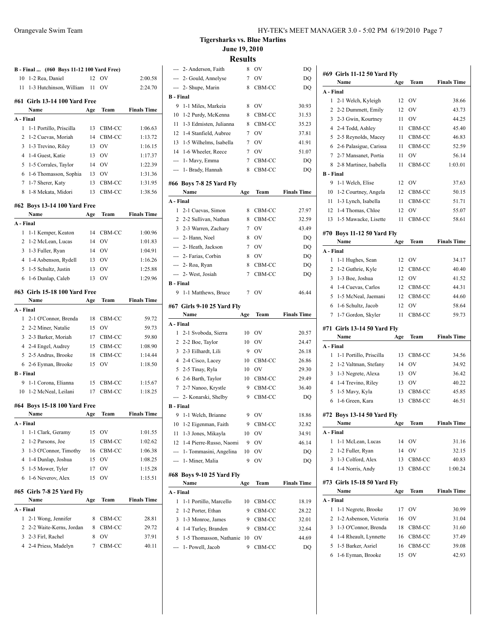|                  | B - Final  (#60 Boys 11-12 100 Yard Free) |     |           |                    |
|------------------|-------------------------------------------|-----|-----------|--------------------|
| 10               | 1-2 Rea, Daniel                           | 12  | OV        | 2:00.58            |
| 11 -             | 1-3 Hutchinson, William 11                |     | <b>OV</b> | 2:24.70            |
|                  | #61 Girls 13-14 100 Yard Free             |     |           |                    |
|                  | Name                                      | Age | Team      | <b>Finals Time</b> |
| A - Final        |                                           |     |           |                    |
| 1                | 1-1 Portillo, Priscilla                   | 13  | CBM-CC    | 1:06.63            |
| $\overline{c}$   | 1-2 Cuevas, Moriah                        | 14  | CBM-CC    | 1:13.72            |
| 3                | 1-3 Trevino, Riley                        |     | 13 OV     | 1:16.15            |
| 4                | 1-4 Guest, Katie                          |     | 13 OV     | 1:17.37            |
| 5                | 1-5 Corrales, Taylor                      |     | 14 OV     | 1:22.39            |
| 6                | 1-6 Thomasson, Sophia                     | 13  | OV.       | 1:31.36            |
| $7\overline{ }$  | 1-7 Sherer, Katy                          | 13  | CBM-CC    | 1:31.95            |
| 8                | 1-8 Mekata, Midori                        | 13  | CBM-CC    | 1:38.56            |
|                  | #62 Boys 13-14 100 Yard Free              |     |           |                    |
|                  | Name                                      | Age | Team      | <b>Finals Time</b> |
| A - Final        |                                           |     |           |                    |
| 1                | 1-1 Kemper, Keaton                        |     | 14 CBM-CC | 1:00.96            |
| 2                | 1-2 McLean, Lucas                         | 14  | <b>OV</b> | 1:01.83            |
| 3                | 1-3 Fuller, Ryan                          |     | 14 OV     | 1:04.91            |
| 4                | 1-4 Asbenson, Rydell                      |     | 13 OV     | 1:16.26            |
| 5                | 1-5 Schultz, Justin                       | 13  | <b>OV</b> | 1:25.88            |
|                  | 6 1-6 Dunlap, Caleb                       | 13  | <b>OV</b> | 1:29.96            |
|                  | #63   Girls 15-18 100 Yard Free           |     |           |                    |
|                  | Name                                      | Age | Team      | <b>Finals Time</b> |
| A - Final        |                                           |     |           |                    |
| 1                | 2-1 O'Connor, Brenda                      | 18  | CBM-CC    | 59.72              |
| $\overline{2}$   | 2-2 Miner, Natalie                        | 15  | OV        | 59.73              |
|                  | 3 2-3 Barker, Moriah                      | 17  | CBM-CC    | 59.80              |
|                  | 4 2-4 Engel, Audrey                       | 15  | CBM-CC    | 1:08.90            |
|                  | 5 2-5 Andrus, Brooke                      | 18  | CBM-CC    | 1:14.44            |
|                  | 6 2-6 Eyman, Brooke                       | 15  | OV        | 1:18.50            |
| <b>B</b> - Final |                                           |     |           |                    |
| 9.               | 1-1 Corona, Elianna                       | 15  | CBM-CC    | 1:15.67            |
|                  | 10 1-2 McNeal, Leilani                    | 17  | CBM-CC    | 1:18.25            |
|                  | #64 Boys 15-18 100 Yard Free              |     |           |                    |
|                  | Name                                      | Age | Team      | Finals Time        |
| A - Final        |                                           |     |           |                    |
| 1                | 1-1 Clark, Geramy                         | 15  | <b>OV</b> | 1:01.55            |
| 2                | 1-2 Parsons, Joe                          | 15  | CBM-CC    | 1:02.62            |
| 3                | 1-3 O'Connor, Timothy                     | 16  | CBM-CC    | 1:06.38            |
| 4                | 1-4 Dunlap, Joshua                        | 15  | <b>OV</b> | 1:08.25            |
| 5                | 1-5 Mower, Tyler                          | 17  | <b>OV</b> | 1:15.28            |
| 6                | 1-6 Neverov, Alex                         | 15  | OV        | 1:15.51            |
|                  |                                           |     |           |                    |
|                  | #65 Girls 7-8 25 Yard Fly<br>Name         | Age | Team      | <b>Finals Time</b> |
| A - Final        |                                           |     |           |                    |
| 1                | 2-1 Wong, Jennifer                        | 8   | CBM-CC    | 28.81              |
| 2                | 2-2 Waite-Kerns, Jordan                   | 8   | CBM-CC    | 29.72              |
| 3                | 2-3 Firl, Rachel                          | 8   | <b>OV</b> | 37.91              |
|                  | 4 2-4 Priess, Madelyn                     | 7   | CBM-CC    | 40.11              |
|                  |                                           |     |           |                    |

**Tigersharks vs. Blue Marlins June 19, 2010**

| Ш<br>311<br>৲<br>↖ |
|--------------------|
|--------------------|

|                  |                                   | ะงน. |               |                    |
|------------------|-----------------------------------|------|---------------|--------------------|
|                  | --- 2- Anderson, Faith            | 8    | <sub>OV</sub> | DQ                 |
|                  | --- 2- Gould, Annelyse            | 7    | $\hbox{OV}$   | DQ                 |
| ---              | 2- Shupe, Marin                   | 8    | CBM-CC        | DQ                 |
| <b>B</b> - Final |                                   |      |               |                    |
| 9                | 1-1 Miles, Markeia                | 8    | OV            | 30.93              |
| 10               | 1-2 Purdy, McKenna                | 8    | CBM-CC        | 31.53              |
| 11               | 1-3 Edmisten, Julianna            | 8    | CBM-CC        | 35.23              |
| 12               | 1-4 Stanfield, Aubree             | 7    | OV            | 37.81              |
| 13               | 1-5 Wilhelms, Isabella            | 7    | OV            | 41.91              |
| 14               | 1-6 Wheeler, Reece                | 7    | OV            | 51.07              |
| ---              | 1- Mavy, Emma                     | 7    | CBM-CC        | DQ                 |
| ---              | 1- Brady, Hannah                  | 8    | CBM-CC        | DQ                 |
|                  | #66 Boys 7-8 25 Yard Fly          |      |               |                    |
|                  | Name                              | Age  | Team          | <b>Finals Time</b> |
| A - Final        |                                   |      |               |                    |
| 1                | 2-1 Cuevas, Simon                 | 8    | CBM-CC        | 27.97              |
|                  | 2 2-2 Sullivan, Nathan            | 8    | CBM-CC        | 32.59              |
|                  | 3 2-3 Warren, Zachary             | 7    | OV            | 43.49              |
|                  | --- 2- Hann, Noel                 | 8    | <b>OV</b>     | DQ                 |
|                  | --- 2- Heath, Jackson             | 7    | OV            | DQ                 |
| $\cdots$         | 2- Farias, Corbin                 | 8    | OV            | DQ                 |
| ---              | 2- Roa, Ryan                      | 8    | CBM-CC        | DQ                 |
| ---              | 2- West, Josiah                   | 7    | CBM-CC        | DQ                 |
| <b>B</b> - Final |                                   |      |               |                    |
| 9                | 1-1 Matthews, Bruce               | 7    | OV            | 46.44              |
|                  | #67 Girls 9-10 25 Yard Fly        |      |               |                    |
|                  |                                   |      |               |                    |
|                  | Name                              | Age  | Team          | <b>Finals Time</b> |
| A - Final        |                                   |      |               |                    |
| 1                | 2-1 Svoboda, Sierra               | 10   | OV            | 20.57              |
|                  | 2 2-2 Boe, Taylor                 | 10   | OV            | 24.47              |
| 3                | 2-3 Eilhardt, Lili                | 9    | OV            | 26.18              |
|                  | 4 2-4 Cisco, Lacey                | 10   | CBM-CC        | 26.86              |
| 5                | 2-5 Tinay, Ryla                   | 10   | <sub>OV</sub> | 29.30              |
|                  | 6 2-6 Barth, Taylor               | 10   | CBM-CC        | 29.49              |
|                  | 7 2-7 Nanoo, Krystle              | 9    | CBM-CC        | 36.40              |
|                  | --- 2- Konarski, Shelby           | 9    | CBM-CC        | DQ                 |
| <b>B</b> - Final |                                   |      |               |                    |
| 9                | 1-1 Welch, Brianne                | 9    | OV            | 18.86              |
| 10               | 1-2 Eigenman, Faith               | 9    | CBM-CC        | 32.82              |
| 11               | 1-3 Jones, Mikayla                | 10   | OV            | 34.91              |
| 12               | 1-4 Pierre-Russo, Naomi           | 9    | OV            | 46.14              |
|                  | 1- Tommasini, Angelina            | 10   | OV            | DQ                 |
| ---              | 1- Miner, Malia                   | 9    | OV            | DQ                 |
|                  |                                   |      |               |                    |
|                  | #68 Boys 9-10 25 Yard Fly<br>Name | Age  | Team          | <b>Finals Time</b> |
| A - Final        |                                   |      |               |                    |
| 1                | 1-1 Portillo, Marcello            | 10   | CBM-CC        | 18.19              |
| 2                | 1-2 Porter, Ethan                 | 9    | CBM-CC        | 28.22              |
| 3                | 1-3 Monroe, James                 | 9    | CBM-CC        | 32.01              |
| 4                | 1-4 Turley, Branden               | 9    | CBM-CC        | 32.64              |
| 5                | 1-5 Thomasson, Nathanie           | 10   | OV            | 44.69              |
| ---              | 1- Powell, Jacob                  | 9    | CBM-CC        | DQ                 |

|                  | #69 Girls 11-12 50 Yard Fly        |     |           |                    |
|------------------|------------------------------------|-----|-----------|--------------------|
|                  | Name                               | Age | Team      | <b>Finals Time</b> |
| A - Final        |                                    |     |           |                    |
| 1                | 2-1 Welch, Kyleigh                 | 12  | <b>OV</b> | 38.66              |
| 2                | 2-2 Dummett, Emily                 | 12  | OV        | 43.73              |
| 3                | 2-3 Gwin, Kourtney                 | 11  | OV        | 44.25              |
| 4                | 2-4 Todd, Ashley                   | 11  | CBM-CC    | 45.40              |
| 5                | 2-5 Reynolds, Macey                | 11  | CBM-CC    | 46.83              |
| 6                | 2-6 Palasigue, Carissa             | 11  | CBM-CC    | 52.59              |
| 7                | 2-7 Mansanet, Portia               | 11  | OV        | 56.14              |
| 8                | 2-8 Martinez, Isabella             | 11  | CBM-CC    | 1:03.01            |
| <b>B</b> - Final |                                    |     |           |                    |
| 9                | 1-1 Welch, Elise                   | 12  | OV        | 37.63              |
| 10               | 1-2 Courtney, Angela               | 12  | CBM-CC    | 50.15              |
| 11               | 1-3 Lynch, Isabella                | 11  | CBM-CC    | 51.71              |
| 12               | 1-4 Thomas, Chloe                  | 12  | OV        | 55.07              |
| 13               | 1-5 Mawacke, Lisette               | 11  | CBM-CC    | 58.61              |
|                  | #70 Boys 11-12 50 Yard Fly         |     |           |                    |
|                  | Name                               | Age | Team      | <b>Finals Time</b> |
| A - Final        |                                    |     |           |                    |
| 1                | 1-1 Hughes, Sean                   | 12  | OV        | 34.17              |
| 2                | 1-2 Guthrie, Kyle                  | 12  | CBM-CC    | 40.40              |
| 3                | 1-3 Boe, Joshua                    | 12  | OV        | 41.52              |
| 4                | 1-4 Cuevas, Carlos                 | 12  | CBM-CC    | 44.31              |
| 5                | 1-5 McNeal, Jaemani                | 12  | CBM-CC    | 44.60              |
| 6                | 1-6 Schultz, Jacob                 | 12  | OV        | 58.64              |
| 7                | 1-7 Gordon, Skyler                 | 11  | CBM-CC    | 59.73              |
|                  |                                    |     |           |                    |
|                  | #71 Girls 13-14 50 Yard Fly        |     |           |                    |
|                  |                                    |     |           |                    |
|                  | Name                               | Age | Team      | <b>Finals Time</b> |
| A - Final        |                                    |     |           |                    |
| 1                | 1-1 Portillo, Priscilla            | 13  | CBM-CC    | 34.56              |
| 2                | 1-2 Valtman, Stefany               | 14  | <b>OV</b> | 34.92              |
| 3                | 1-3 Negrete, Alexa                 | 13  | <b>OV</b> | 36.42              |
| 4                | 1-4 Trevino, Riley                 | 13  | OV        | 40.22              |
| 5                | 1-5 Mavy, Kyla                     | 13  | CBM-CC    | 45.85              |
| 6                | 1-6 Green, Kara                    | 13  | CBM-CC    | 46.51              |
|                  |                                    |     |           |                    |
|                  | #72 Boys 13-14 50 Yard Fly<br>Name |     | Team      | <b>Finals Time</b> |
| A - Final        |                                    | Age |           |                    |
| 1                | 1-1 McLean, Lucas                  | 14  | OV        | 31.16              |
| 2                | 1-2 Fuller, Ryan                   | 14  | OV        | 32.15              |
| 3                | 1-3 Colford, Alex                  | 13  | CBM-CC    | 40.83              |
| 4                | 1-4 Norris, Andy                   | 13  | CBM-CC    | 1:00.24            |
|                  |                                    |     |           |                    |
|                  | #73 Girls 15-18 50 Yard Fly        |     |           |                    |
|                  | Name                               | Age | Team      | <b>Finals Time</b> |
| A - Final        |                                    |     |           |                    |
| 1                | 1-1 Negrete, Brooke                | 17  | OV        | 30.99              |
| 2                | 1-2 Asbenson, Victoria             | 16  | OV        | 31.04              |
| 3                | 1-3 O'Connor, Brenda               | 18  | CBM-CC    | 31.60              |
| 4                | 1-4 Rheault, Lynnette              | 16  | CBM-CC    | 37.49              |
| 5                | 1-5 Barker, Asriel                 | 16  | CBM-CC    | 39.08              |
| 6                | 1-6 Eyman, Brooke                  | 15  | OV        | 42.93              |
|                  |                                    |     |           |                    |